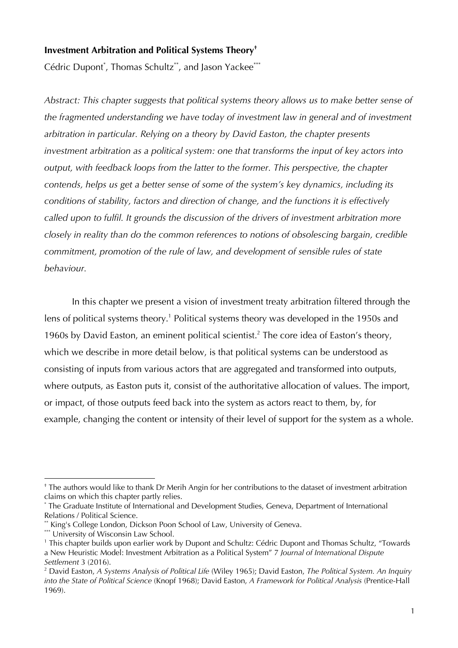# **Investment Arbitration and Political Systems Theory†**

Cédric Dupont\* , Thomas Schultz\*\*, and Jason Yackee\*\*\*

*Abstract: This chapter suggests that political systems theory allows us to make better sense of the fragmented understanding we have today of investment law in general and of investment arbitration in particular. Relying on a theory by David Easton, the chapter presents investment arbitration as a political system: one that transforms the input of key actors into output, with feedback loops from the latter to the former. This perspective, the chapter contends, helps us get a better sense of some of the system's key dynamics, including its conditions of stability, factors and direction of change, and the functions it is effectively called upon to fulfil. It grounds the discussion of the drivers of investment arbitration more closely in reality than do the common references to notions of obsolescing bargain, credible commitment, promotion of the rule of law, and development of sensible rules of state behaviour.*

In this chapter we present a vision of investment treaty arbitration filtered through the lens of political systems theory.<sup>1</sup> Political systems theory was developed in the 1950s and 1960s by David Easton, an eminent political scientist.<sup>2</sup> The core idea of Easton's theory, which we describe in more detail below, is that political systems can be understood as consisting of inputs from various actors that are aggregated and transformed into outputs, where outputs, as Easton puts it, consist of the authoritative allocation of values. The import, or impact, of those outputs feed back into the system as actors react to them, by, for example, changing the content or intensity of their level of support for the system as a whole.

\*\*\* University of Wisconsin Law School.

<sup>†</sup> The authors would like to thank Dr Merih Angin for her contributions to the dataset of investment arbitration claims on which this chapter partly relies.

The Graduate Institute of International and Development Studies, Geneva, Department of International Relations / Political Science.

<sup>\*\*</sup> King's College London, Dickson Poon School of Law, University of Geneva.

<sup>&</sup>lt;sup>1</sup> This chapter builds upon earlier work by Dupont and Schultz: Cédric Dupont and Thomas Schultz, "Towards a New Heuristic Model: Investment Arbitration as a Political System" 7 *Journal of International Dispute Settlement* 3 (2016).

<sup>2</sup> David Easton, *A Systems Analysis of Political Life* (Wiley 1965); David Easton, *The Political System. An Inquiry into the State of Political Science* (Knopf 1968); David Easton, *A Framework for Political Analysis* (Prentice-Hall 1969).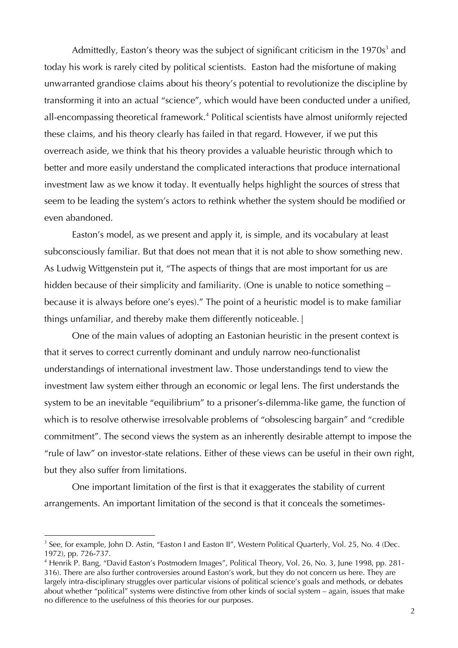Admittedly, Easton's theory was the subject of significant criticism in the  $1970s<sup>3</sup>$  and today his work is rarely cited by political scientists. Easton had the misfortune of making unwarranted grandiose claims about his theory's potential to revolutionize the discipline by transforming it into an actual "science", which would have been conducted under a unified, all-encompassing theoretical framework.<sup>4</sup> Political scientists have almost uniformly rejected these claims, and his theory clearly has failed in that regard. However, if we put this overreach aside, we think that his theory provides a valuable heuristic through which to better and more easily understand the complicated interactions that produce international investment law as we know it today. It eventually helps highlight the sources of stress that seem to be leading the system's actors to rethink whether the system should be modified or even abandoned.

Easton's model, as we present and apply it, is simple, and its vocabulary at least subconsciously familiar. But that does not mean that it is not able to show something new. As Ludwig Wittgenstein put it, "The aspects of things that are most important for us are hidden because of their simplicity and familiarity. (One is unable to notice something – because it is always before one's eyes)." The point of a heuristic model is to make familiar things unfamiliar, and thereby make them differently noticeable.|

One of the main values of adopting an Eastonian heuristic in the present context is that it serves to correct currently dominant and unduly narrow neo-functionalist understandings of international investment law. Those understandings tend to view the investment law system either through an economic or legal lens. The first understands the system to be an inevitable "equilibrium" to a prisoner's-dilemma-like game, the function of which is to resolve otherwise irresolvable problems of "obsolescing bargain" and "credible commitment". The second views the system as an inherently desirable attempt to impose the "rule of law" on investor-state relations. Either of these views can be useful in their own right, but they also suffer from limitations.

One important limitation of the first is that it exaggerates the stability of current arrangements. An important limitation of the second is that it conceals the sometimes-

<sup>&</sup>lt;sup>3</sup> See, for example, John D. Astin, "Easton I and Easton II", Western Political Quarterly, Vol. 25, No. 4 (Dec. 1972), pp. 726-737.

<sup>4</sup> Henrik P. Bang, "David Easton's Postmodern Images", Political Theory, Vol. 26, No. 3, June 1998, pp. 281- 316). There are also further controversies around Easton's work, but they do not concern us here. They are largely intra-disciplinary struggles over particular visions of political science's goals and methods, or debates about whether "political" systems were distinctive from other kinds of social system – again, issues that make no difference to the usefulness of this theories for our purposes.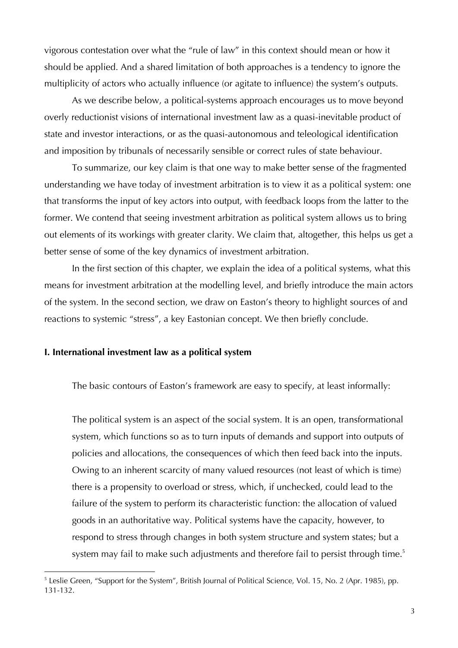vigorous contestation over what the "rule of law" in this context should mean or how it should be applied. And a shared limitation of both approaches is a tendency to ignore the multiplicity of actors who actually influence (or agitate to influence) the system's outputs.

As we describe below, a political-systems approach encourages us to move beyond overly reductionist visions of international investment law as a quasi-inevitable product of state and investor interactions, or as the quasi-autonomous and teleological identification and imposition by tribunals of necessarily sensible or correct rules of state behaviour.

To summarize, our key claim is that one way to make better sense of the fragmented understanding we have today of investment arbitration is to view it as a political system: one that transforms the input of key actors into output, with feedback loops from the latter to the former. We contend that seeing investment arbitration as political system allows us to bring out elements of its workings with greater clarity. We claim that, altogether, this helps us get a better sense of some of the key dynamics of investment arbitration.

In the first section of this chapter, we explain the idea of a political systems, what this means for investment arbitration at the modelling level, and briefly introduce the main actors of the system. In the second section, we draw on Easton's theory to highlight sources of and reactions to systemic "stress", a key Eastonian concept. We then briefly conclude.

# **I. International investment law as a political system**

 $\overline{a}$ 

The basic contours of Easton's framework are easy to specify, at least informally:

The political system is an aspect of the social system. It is an open, transformational system, which functions so as to turn inputs of demands and support into outputs of policies and allocations, the consequences of which then feed back into the inputs. Owing to an inherent scarcity of many valued resources (not least of which is time) there is a propensity to overload or stress, which, if unchecked, could lead to the failure of the system to perform its characteristic function: the allocation of valued goods in an authoritative way. Political systems have the capacity, however, to respond to stress through changes in both system structure and system states; but a system may fail to make such adjustments and therefore fail to persist through time.<sup>5</sup>

<sup>&</sup>lt;sup>5</sup> Leslie Green, "Support for the System", British Journal of Political Science, Vol. 15, No. 2 (Apr. 1985), pp. 131-132.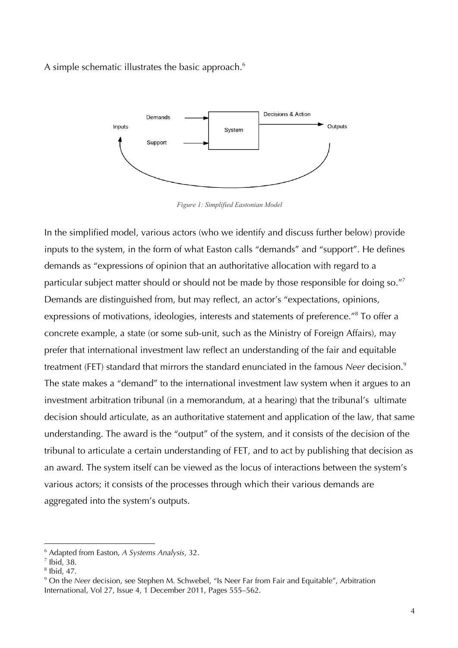A simple schematic illustrates the basic approach. $6$ 



*Figure 1: Simplified Eastonian Model*

In the simplified model, various actors (who we identify and discuss further below) provide inputs to the system, in the form of what Easton calls "demands" and "support". He defines demands as "expressions of opinion that an authoritative allocation with regard to a particular subject matter should or should not be made by those responsible for doing so."<sup>7</sup> Demands are distinguished from, but may reflect, an actor's "expectations, opinions, expressions of motivations, ideologies, interests and statements of preference.<sup>"8</sup> To offer a concrete example, a state (or some sub-unit, such as the Ministry of Foreign Affairs), may prefer that international investment law reflect an understanding of the fair and equitable treatment (FET) standard that mirrors the standard enunciated in the famous *Neer* decision.<sup>9</sup> The state makes a "demand" to the international investment law system when it argues to an investment arbitration tribunal (in a memorandum, at a hearing) that the tribunal's ultimate decision should articulate, as an authoritative statement and application of the law, that same understanding. The award is the "output" of the system, and it consists of the decision of the tribunal to articulate a certain understanding of FET, and to act by publishing that decision as an award. The system itself can be viewed as the locus of interactions between the system's various actors; it consists of the processes through which their various demands are aggregated into the system's outputs.

<sup>6</sup> Adapted from Easton, *A Systems Analysis*, 32.

 $<sup>7</sup>$  Ibid, 38.</sup>

 $<sup>8</sup>$  Ibid, 47.</sup>

<sup>9</sup> On the *Neer* decision, see Stephen M. Schwebel, "Is Neer Far from Fair and Equitable", Arbitration International, Vol 27, Issue 4, 1 December 2011, Pages 555–562.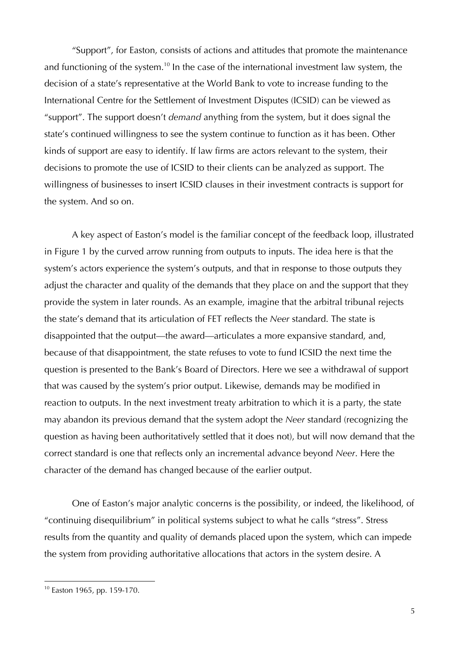"Support", for Easton, consists of actions and attitudes that promote the maintenance and functioning of the system.<sup>10</sup> In the case of the international investment law system, the decision of a state's representative at the World Bank to vote to increase funding to the International Centre for the Settlement of Investment Disputes (ICSID) can be viewed as "support". The support doesn't *demand* anything from the system, but it does signal the state's continued willingness to see the system continue to function as it has been. Other kinds of support are easy to identify. If law firms are actors relevant to the system, their decisions to promote the use of ICSID to their clients can be analyzed as support. The willingness of businesses to insert ICSID clauses in their investment contracts is support for the system. And so on.

A key aspect of Easton's model is the familiar concept of the feedback loop, illustrated in Figure 1 by the curved arrow running from outputs to inputs. The idea here is that the system's actors experience the system's outputs, and that in response to those outputs they adjust the character and quality of the demands that they place on and the support that they provide the system in later rounds. As an example, imagine that the arbitral tribunal rejects the state's demand that its articulation of FET reflects the *Neer* standard. The state is disappointed that the output—the award—articulates a more expansive standard, and, because of that disappointment, the state refuses to vote to fund ICSID the next time the question is presented to the Bank's Board of Directors. Here we see a withdrawal of support that was caused by the system's prior output. Likewise, demands may be modified in reaction to outputs. In the next investment treaty arbitration to which it is a party, the state may abandon its previous demand that the system adopt the *Neer* standard (recognizing the question as having been authoritatively settled that it does not), but will now demand that the correct standard is one that reflects only an incremental advance beyond *Neer*. Here the character of the demand has changed because of the earlier output.

One of Easton's major analytic concerns is the possibility, or indeed, the likelihood, of "continuing disequilibrium" in political systems subject to what he calls "stress". Stress results from the quantity and quality of demands placed upon the system, which can impede the system from providing authoritative allocations that actors in the system desire. A

<sup>10</sup> Easton 1965, pp. 159-170.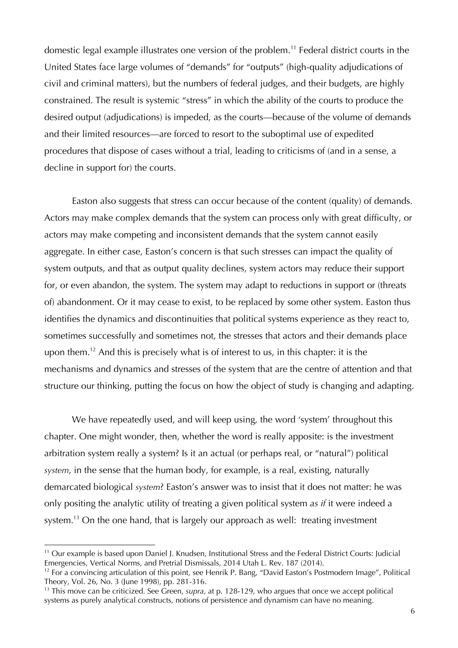domestic legal example illustrates one version of the problem.<sup>11</sup> Federal district courts in the United States face large volumes of "demands" for "outputs" (high-quality adjudications of civil and criminal matters), but the numbers of federal judges, and their budgets, are highly constrained. The result is systemic "stress" in which the ability of the courts to produce the desired output (adjudications) is impeded, as the courts—because of the volume of demands and their limited resources—are forced to resort to the suboptimal use of expedited procedures that dispose of cases without a trial, leading to criticisms of (and in a sense, a decline in support for) the courts.

Easton also suggests that stress can occur because of the content (quality) of demands. Actors may make complex demands that the system can process only with great difficulty, or actors may make competing and inconsistent demands that the system cannot easily aggregate. In either case, Easton's concern is that such stresses can impact the quality of system outputs, and that as output quality declines, system actors may reduce their support for, or even abandon, the system. The system may adapt to reductions in support or (threats of) abandonment. Or it may cease to exist, to be replaced by some other system. Easton thus identifies the dynamics and discontinuities that political systems experience as they react to, sometimes successfully and sometimes not, the stresses that actors and their demands place upon them.<sup>12</sup> And this is precisely what is of interest to us, in this chapter: it is the mechanisms and dynamics and stresses of the system that are the centre of attention and that structure our thinking, putting the focus on how the object of study is changing and adapting.

We have repeatedly used, and will keep using, the word 'system' throughout this chapter. One might wonder, then, whether the word is really apposite: is the investment arbitration system really a system? Is it an actual (or perhaps real, or "natural") political *system*, in the sense that the human body, for example, is a real, existing, naturally demarcated biological *system*? Easton's answer was to insist that it does not matter: he was only positing the analytic utility of treating a given political system *as if* it were indeed a system.<sup>13</sup> On the one hand, that is largely our approach as well: treating investment

<sup>&</sup>lt;sup>11</sup> Our example is based upon Daniel J. Knudsen, Institutional Stress and the Federal District Courts: Judicial Emergencies, Vertical Norms, and Pretrial Dismissals, 2014 Utah L. Rev. 187 (2014).

 $12$  For a convincing articulation of this point, see Henrik P. Bang, "David Easton's Postmodern Image", Political Theory, Vol. 26, No. 3 (June 1998), pp. 281-316.

<sup>&</sup>lt;sup>13</sup> This move can be criticized. See Green, *supra*, at p. 128-129, who argues that once we accept political systems as purely analytical constructs, notions of persistence and dynamism can have no meaning.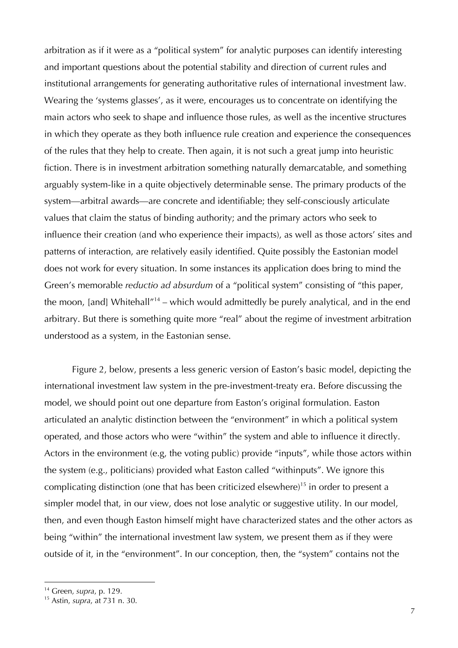arbitration as if it were as a "political system" for analytic purposes can identify interesting and important questions about the potential stability and direction of current rules and institutional arrangements for generating authoritative rules of international investment law. Wearing the 'systems glasses', as it were, encourages us to concentrate on identifying the main actors who seek to shape and influence those rules, as well as the incentive structures in which they operate as they both influence rule creation and experience the consequences of the rules that they help to create. Then again, it is not such a great jump into heuristic fiction. There is in investment arbitration something naturally demarcatable, and something arguably system-like in a quite objectively determinable sense. The primary products of the system—arbitral awards—are concrete and identifiable; they self-consciously articulate values that claim the status of binding authority; and the primary actors who seek to influence their creation (and who experience their impacts), as well as those actors' sites and patterns of interaction, are relatively easily identified. Quite possibly the Eastonian model does not work for every situation. In some instances its application does bring to mind the Green's memorable *reductio ad absurdum* of a "political system" consisting of "this paper, the moon, [and] Whitehall<sup> $n+4$ </sup> – which would admittedly be purely analytical, and in the end arbitrary. But there is something quite more "real" about the regime of investment arbitration understood as a system, in the Eastonian sense.

Figure 2, below, presents a less generic version of Easton's basic model, depicting the international investment law system in the pre-investment-treaty era. Before discussing the model, we should point out one departure from Easton's original formulation. Easton articulated an analytic distinction between the "environment" in which a political system operated, and those actors who were "within" the system and able to influence it directly. Actors in the environment (e.g, the voting public) provide "inputs", while those actors within the system (e.g., politicians) provided what Easton called "withinputs". We ignore this complicating distinction (one that has been criticized elsewhere)<sup>15</sup> in order to present a simpler model that, in our view, does not lose analytic or suggestive utility. In our model, then, and even though Easton himself might have characterized states and the other actors as being "within" the international investment law system, we present them as if they were outside of it, in the "environment". In our conception, then, the "system" contains not the

<sup>14</sup> Green, *supra*, p. 129.

<sup>15</sup> Astin, *supra*, at 731 n. 30.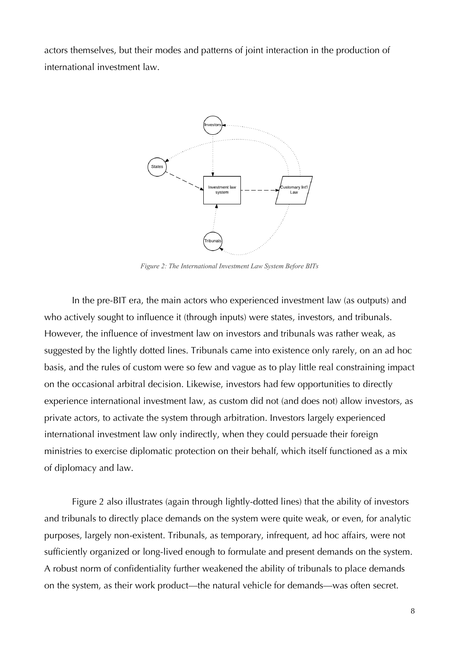actors themselves, but their modes and patterns of joint interaction in the production of international investment law.



*Figure 2: The International Investment Law System Before BITs*

In the pre-BIT era, the main actors who experienced investment law (as outputs) and who actively sought to influence it (through inputs) were states, investors, and tribunals. However, the influence of investment law on investors and tribunals was rather weak, as suggested by the lightly dotted lines. Tribunals came into existence only rarely, on an ad hoc basis, and the rules of custom were so few and vague as to play little real constraining impact on the occasional arbitral decision. Likewise, investors had few opportunities to directly experience international investment law, as custom did not (and does not) allow investors, as private actors, to activate the system through arbitration. Investors largely experienced international investment law only indirectly, when they could persuade their foreign ministries to exercise diplomatic protection on their behalf, which itself functioned as a mix of diplomacy and law.

Figure 2 also illustrates (again through lightly-dotted lines) that the ability of investors and tribunals to directly place demands on the system were quite weak, or even, for analytic purposes, largely non-existent. Tribunals, as temporary, infrequent, ad hoc affairs, were not sufficiently organized or long-lived enough to formulate and present demands on the system. A robust norm of confidentiality further weakened the ability of tribunals to place demands on the system, as their work product—the natural vehicle for demands—was often secret.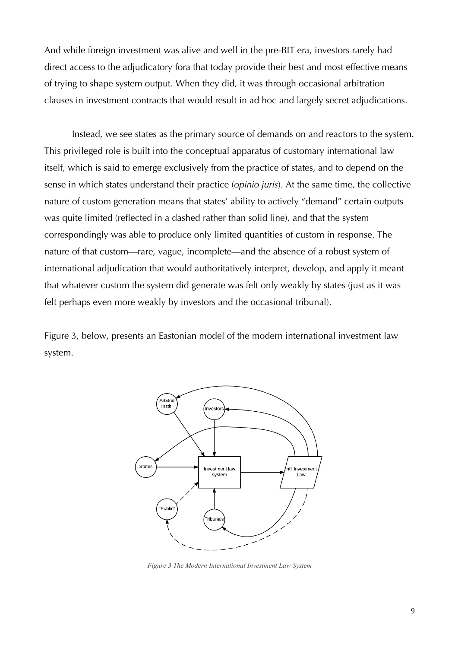And while foreign investment was alive and well in the pre-BIT era, investors rarely had direct access to the adjudicatory fora that today provide their best and most effective means of trying to shape system output. When they did, it was through occasional arbitration clauses in investment contracts that would result in ad hoc and largely secret adjudications.

Instead, we see states as the primary source of demands on and reactors to the system. This privileged role is built into the conceptual apparatus of customary international law itself, which is said to emerge exclusively from the practice of states, and to depend on the sense in which states understand their practice (*opinio juris*). At the same time, the collective nature of custom generation means that states' ability to actively "demand" certain outputs was quite limited (reflected in a dashed rather than solid line), and that the system correspondingly was able to produce only limited quantities of custom in response. The nature of that custom—rare, vague, incomplete—and the absence of a robust system of international adjudication that would authoritatively interpret, develop, and apply it meant that whatever custom the system did generate was felt only weakly by states (just as it was felt perhaps even more weakly by investors and the occasional tribunal).

Figure 3, below, presents an Eastonian model of the modern international investment law system.



*Figure 3 The Modern International Investment Law System*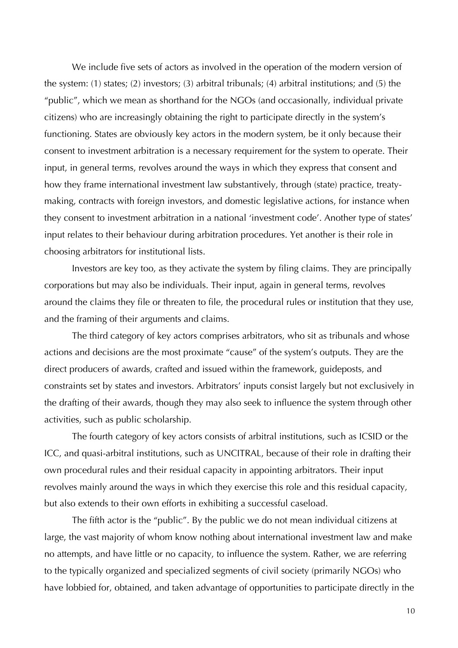We include five sets of actors as involved in the operation of the modern version of the system: (1) states; (2) investors; (3) arbitral tribunals; (4) arbitral institutions; and (5) the "public", which we mean as shorthand for the NGOs (and occasionally, individual private citizens) who are increasingly obtaining the right to participate directly in the system's functioning. States are obviously key actors in the modern system, be it only because their consent to investment arbitration is a necessary requirement for the system to operate. Their input, in general terms, revolves around the ways in which they express that consent and how they frame international investment law substantively, through (state) practice, treatymaking, contracts with foreign investors, and domestic legislative actions, for instance when they consent to investment arbitration in a national 'investment code'. Another type of states' input relates to their behaviour during arbitration procedures. Yet another is their role in choosing arbitrators for institutional lists.

Investors are key too, as they activate the system by filing claims. They are principally corporations but may also be individuals. Their input, again in general terms, revolves around the claims they file or threaten to file, the procedural rules or institution that they use, and the framing of their arguments and claims.

The third category of key actors comprises arbitrators, who sit as tribunals and whose actions and decisions are the most proximate "cause" of the system's outputs. They are the direct producers of awards, crafted and issued within the framework, guideposts, and constraints set by states and investors. Arbitrators' inputs consist largely but not exclusively in the drafting of their awards, though they may also seek to influence the system through other activities, such as public scholarship.

The fourth category of key actors consists of arbitral institutions, such as ICSID or the ICC, and quasi-arbitral institutions, such as UNCITRAL, because of their role in drafting their own procedural rules and their residual capacity in appointing arbitrators. Their input revolves mainly around the ways in which they exercise this role and this residual capacity, but also extends to their own efforts in exhibiting a successful caseload.

The fifth actor is the "public". By the public we do not mean individual citizens at large, the vast majority of whom know nothing about international investment law and make no attempts, and have little or no capacity, to influence the system. Rather, we are referring to the typically organized and specialized segments of civil society (primarily NGOs) who have lobbied for, obtained, and taken advantage of opportunities to participate directly in the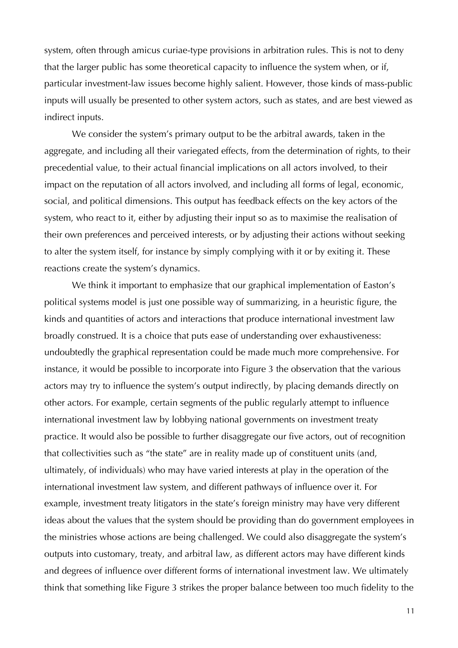system, often through amicus curiae-type provisions in arbitration rules. This is not to deny that the larger public has some theoretical capacity to influence the system when, or if, particular investment-law issues become highly salient. However, those kinds of mass-public inputs will usually be presented to other system actors, such as states, and are best viewed as indirect inputs.

We consider the system's primary output to be the arbitral awards, taken in the aggregate, and including all their variegated effects, from the determination of rights, to their precedential value, to their actual financial implications on all actors involved, to their impact on the reputation of all actors involved, and including all forms of legal, economic, social, and political dimensions. This output has feedback effects on the key actors of the system, who react to it, either by adjusting their input so as to maximise the realisation of their own preferences and perceived interests, or by adjusting their actions without seeking to alter the system itself, for instance by simply complying with it or by exiting it. These reactions create the system's dynamics.

We think it important to emphasize that our graphical implementation of Easton's political systems model is just one possible way of summarizing, in a heuristic figure, the kinds and quantities of actors and interactions that produce international investment law broadly construed. It is a choice that puts ease of understanding over exhaustiveness: undoubtedly the graphical representation could be made much more comprehensive. For instance, it would be possible to incorporate into Figure 3 the observation that the various actors may try to influence the system's output indirectly, by placing demands directly on other actors. For example, certain segments of the public regularly attempt to influence international investment law by lobbying national governments on investment treaty practice. It would also be possible to further disaggregate our five actors, out of recognition that collectivities such as "the state" are in reality made up of constituent units (and, ultimately, of individuals) who may have varied interests at play in the operation of the international investment law system, and different pathways of influence over it. For example, investment treaty litigators in the state's foreign ministry may have very different ideas about the values that the system should be providing than do government employees in the ministries whose actions are being challenged. We could also disaggregate the system's outputs into customary, treaty, and arbitral law, as different actors may have different kinds and degrees of influence over different forms of international investment law. We ultimately think that something like Figure 3 strikes the proper balance between too much fidelity to the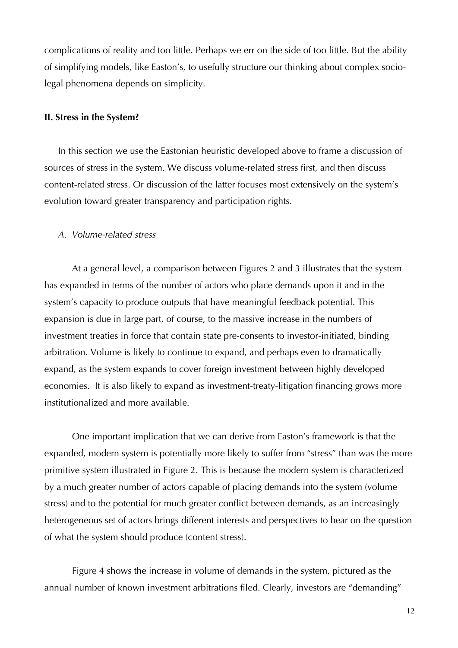complications of reality and too little. Perhaps we err on the side of too little. But the ability of simplifying models, like Easton's, to usefully structure our thinking about complex sociolegal phenomena depends on simplicity.

#### **II. Stress in the System?**

In this section we use the Eastonian heuristic developed above to frame a discussion of sources of stress in the system. We discuss volume-related stress first, and then discuss content-related stress. Or discussion of the latter focuses most extensively on the system's evolution toward greater transparency and participation rights.

# *A. Volume-related stress*

At a general level, a comparison between Figures 2 and 3 illustrates that the system has expanded in terms of the number of actors who place demands upon it and in the system's capacity to produce outputs that have meaningful feedback potential. This expansion is due in large part, of course, to the massive increase in the numbers of investment treaties in force that contain state pre-consents to investor-initiated, binding arbitration. Volume is likely to continue to expand, and perhaps even to dramatically expand, as the system expands to cover foreign investment between highly developed economies. It is also likely to expand as investment-treaty-litigation financing grows more institutionalized and more available.

One important implication that we can derive from Easton's framework is that the expanded, modern system is potentially more likely to suffer from "stress" than was the more primitive system illustrated in Figure 2. This is because the modern system is characterized by a much greater number of actors capable of placing demands into the system (volume stress) and to the potential for much greater conflict between demands, as an increasingly heterogeneous set of actors brings different interests and perspectives to bear on the question of what the system should produce (content stress).

Figure 4 shows the increase in volume of demands in the system, pictured as the annual number of known investment arbitrations filed. Clearly, investors are "demanding"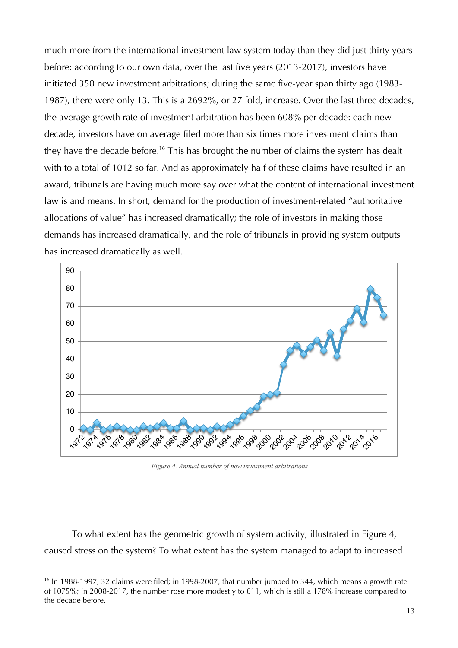much more from the international investment law system today than they did just thirty years before: according to our own data, over the last five years (2013-2017), investors have initiated 350 new investment arbitrations; during the same five-year span thirty ago (1983- 1987), there were only 13. This is a 2692%, or 27 fold, increase. Over the last three decades, the average growth rate of investment arbitration has been 608% per decade: each new decade, investors have on average filed more than six times more investment claims than they have the decade before.<sup>16</sup> This has brought the number of claims the system has dealt with to a total of 1012 so far. And as approximately half of these claims have resulted in an award, tribunals are having much more say over what the content of international investment law is and means. In short, demand for the production of investment-related "authoritative allocations of value" has increased dramatically; the role of investors in making those demands has increased dramatically, and the role of tribunals in providing system outputs has increased dramatically as well.



*Figure 4. Annual number of new investment arbitrations*

To what extent has the geometric growth of system activity, illustrated in Figure 4, caused stress on the system? To what extent has the system managed to adapt to increased

 In 1988-1997, 32 claims were filed; in 1998-2007, that number jumped to 344, which means a growth rate of 1075%; in 2008-2017, the number rose more modestly to 611, which is still a 178% increase compared to the decade before.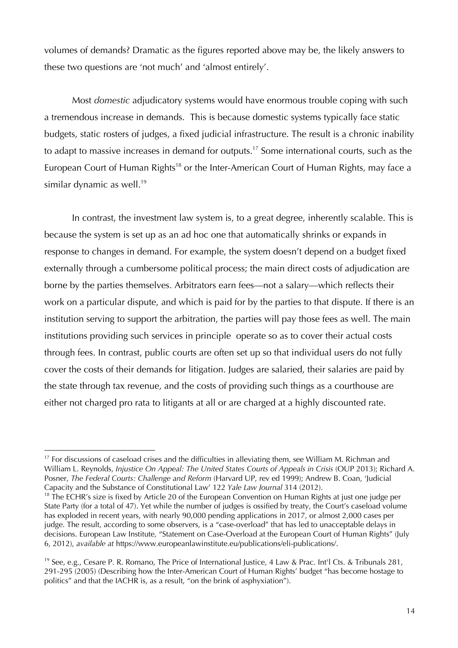volumes of demands? Dramatic as the figures reported above may be, the likely answers to these two questions are 'not much' and 'almost entirely'.

Most *domestic* adjudicatory systems would have enormous trouble coping with such a tremendous increase in demands. This is because domestic systems typically face static budgets, static rosters of judges, a fixed judicial infrastructure. The result is a chronic inability to adapt to massive increases in demand for outputs.<sup>17</sup> Some international courts, such as the European Court of Human Rights<sup>18</sup> or the Inter-American Court of Human Rights, may face a similar dynamic as well. 19

In contrast, the investment law system is, to a great degree, inherently scalable. This is because the system is set up as an ad hoc one that automatically shrinks or expands in response to changes in demand. For example, the system doesn't depend on a budget fixed externally through a cumbersome political process; the main direct costs of adjudication are borne by the parties themselves. Arbitrators earn fees—not a salary—which reflects their work on a particular dispute, and which is paid for by the parties to that dispute. If there is an institution serving to support the arbitration, the parties will pay those fees as well. The main institutions providing such services in principle operate so as to cover their actual costs through fees. In contrast, public courts are often set up so that individual users do not fully cover the costs of their demands for litigation. Judges are salaried, their salaries are paid by the state through tax revenue, and the costs of providing such things as a courthouse are either not charged pro rata to litigants at all or are charged at a highly discounted rate.

 $17$  For discussions of caseload crises and the difficulties in alleviating them, see William M. Richman and William L. Reynolds, *Injustice On Appeal: The United States Courts of Appeals in Crisis* (OUP 2013); Richard A. Posner, *The Federal Courts: Challenge and Reform* (Harvard UP, rev ed 1999); Andrew B. Coan, 'Judicial Capacity and the Substance of Constitutional Law' 122 *Yale Law Journal* 314 (2012).

 $18$  The ECHR's size is fixed by Article 20 of the European Convention on Human Rights at just one judge per State Party (for a total of 47). Yet while the number of judges is ossified by treaty, the Court's caseload volume has exploded in recent years, with nearly 90,000 pending applications in 2017, or almost 2,000 cases per judge. The result, according to some observers, is a "case-overload" that has led to unacceptable delays in decisions. European Law Institute, "Statement on Case-Overload at the European Court of Human Rights" (July 6, 2012), *available at* https://www.europeanlawinstitute.eu/publications/eli-publications/.

<sup>&</sup>lt;sup>19</sup> See, e.g., Cesare P. R. Romano, The Price of International Justice, 4 Law & Prac. Int<sup>1</sup>l Cts. & Tribunals 281, 291-295 (2005) (Describing how the Inter-American Court of Human Rights' budget "has become hostage to politics" and that the IACHR is, as a result, "on the brink of asphyxiation").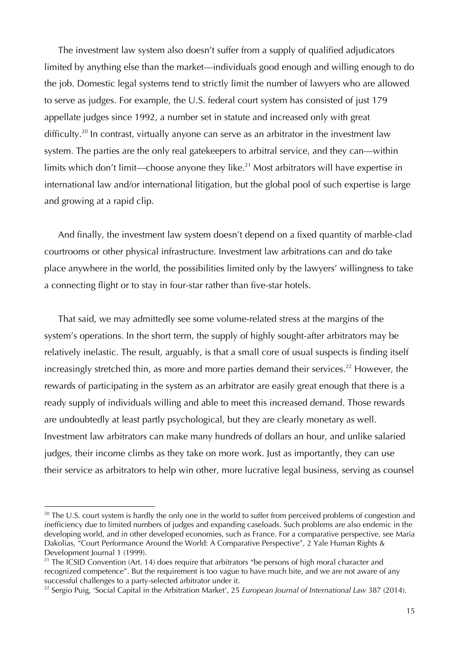The investment law system also doesn't suffer from a supply of qualified adjudicators limited by anything else than the market—individuals good enough and willing enough to do the job. Domestic legal systems tend to strictly limit the number of lawyers who are allowed to serve as judges. For example, the U.S. federal court system has consisted of just 179 appellate judges since 1992, a number set in statute and increased only with great difficulty.<sup>20</sup> In contrast, virtually anyone can serve as an arbitrator in the investment law system. The parties are the only real gatekeepers to arbitral service, and they can—within limits which don't limit—choose anyone they like.<sup>21</sup> Most arbitrators will have expertise in international law and/or international litigation, but the global pool of such expertise is large and growing at a rapid clip.

And finally, the investment law system doesn't depend on a fixed quantity of marble-clad courtrooms or other physical infrastructure. Investment law arbitrations can and do take place anywhere in the world, the possibilities limited only by the lawyers' willingness to take a connecting flight or to stay in four-star rather than five-star hotels.

That said, we may admittedly see some volume-related stress at the margins of the system's operations. In the short term, the supply of highly sought-after arbitrators may be relatively inelastic. The result, arguably, is that a small core of usual suspects is finding itself increasingly stretched thin, as more and more parties demand their services.<sup>22</sup> However, the rewards of participating in the system as an arbitrator are easily great enough that there is a ready supply of individuals willing and able to meet this increased demand. Those rewards are undoubtedly at least partly psychological, but they are clearly monetary as well. Investment law arbitrators can make many hundreds of dollars an hour, and unlike salaried judges, their income climbs as they take on more work. Just as importantly, they can use their service as arbitrators to help win other, more lucrative legal business, serving as counsel

 $^{20}$  The U.S. court system is hardly the only one in the world to suffer from perceived problems of congestion and inefficiency due to limited numbers of judges and expanding caseloads. Such problems are also endemic in the developing world, and in other developed economies, such as France. For a comparative perspective, see Maria Dakolias, "Court Performance Around the World: A Comparative Perspective", 2 Yale Human Rights & Development Journal 1 (1999).

 $21$  The ICSID Convention (Art. 14) does require that arbitrators "be persons of high moral character and recognized competence". But the requirement is too vague to have much bite, and we are not aware of any successful challenges to a party-selected arbitrator under it.

<sup>22</sup> Sergio Puig, 'Social Capital in the Arbitration Market', 25 *European Journal of International Law* 387 (2014).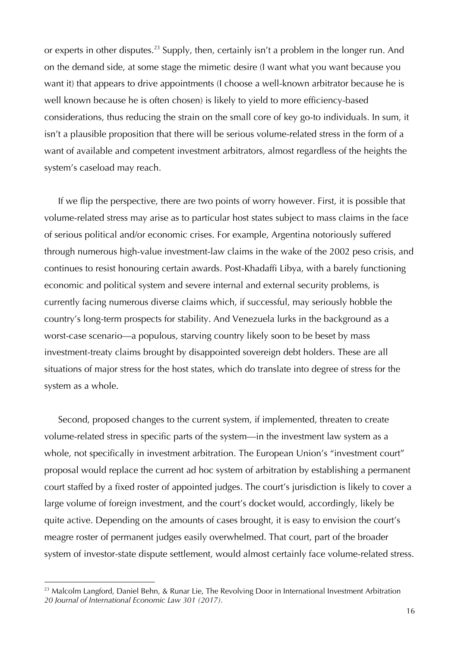or experts in other disputes.<sup>23</sup> Supply, then, certainly isn't a problem in the longer run. And on the demand side, at some stage the mimetic desire (I want what you want because you want it) that appears to drive appointments (I choose a well-known arbitrator because he is well known because he is often chosen) is likely to yield to more efficiency-based considerations, thus reducing the strain on the small core of key go-to individuals. In sum, it isn't a plausible proposition that there will be serious volume-related stress in the form of a want of available and competent investment arbitrators, almost regardless of the heights the system's caseload may reach.

If we flip the perspective, there are two points of worry however. First, it is possible that volume-related stress may arise as to particular host states subject to mass claims in the face of serious political and/or economic crises. For example, Argentina notoriously suffered through numerous high-value investment-law claims in the wake of the 2002 peso crisis, and continues to resist honouring certain awards. Post-Khadaffi Libya, with a barely functioning economic and political system and severe internal and external security problems, is currently facing numerous diverse claims which, if successful, may seriously hobble the country's long-term prospects for stability. And Venezuela lurks in the background as a worst-case scenario—a populous, starving country likely soon to be beset by mass investment-treaty claims brought by disappointed sovereign debt holders. These are all situations of major stress for the host states, which do translate into degree of stress for the system as a whole.

Second, proposed changes to the current system, if implemented, threaten to create volume-related stress in specific parts of the system—in the investment law system as a whole, not specifically in investment arbitration. The European Union's "investment court" proposal would replace the current ad hoc system of arbitration by establishing a permanent court staffed by a fixed roster of appointed judges. The court's jurisdiction is likely to cover a large volume of foreign investment, and the court's docket would, accordingly, likely be quite active. Depending on the amounts of cases brought, it is easy to envision the court's meagre roster of permanent judges easily overwhelmed. That court, part of the broader system of investor-state dispute settlement, would almost certainly face volume-related stress.

 $^{23}$  Malcolm Langford, Daniel Behn, & Runar Lie, The Revolving Door in International Investment Arbitration *20 Journal of International Economic Law 301 (2017).*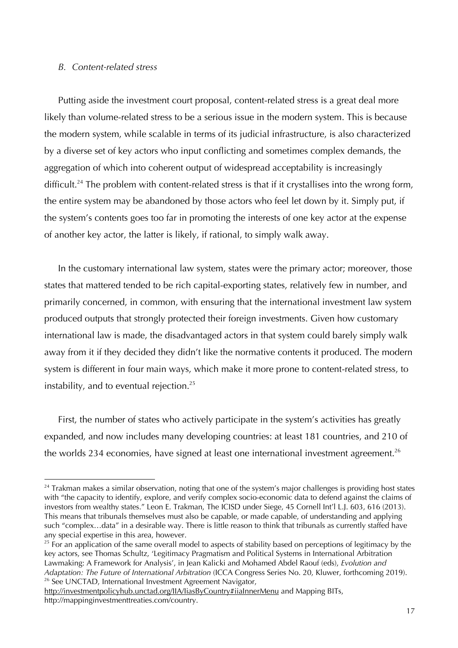### *B. Content-related stress*

 $\overline{a}$ 

Putting aside the investment court proposal, content-related stress is a great deal more likely than volume-related stress to be a serious issue in the modern system. This is because the modern system, while scalable in terms of its judicial infrastructure, is also characterized by a diverse set of key actors who input conflicting and sometimes complex demands, the aggregation of which into coherent output of widespread acceptability is increasingly difficult.<sup>24</sup> The problem with content-related stress is that if it crystallises into the wrong form, the entire system may be abandoned by those actors who feel let down by it. Simply put, if the system's contents goes too far in promoting the interests of one key actor at the expense of another key actor, the latter is likely, if rational, to simply walk away.

In the customary international law system, states were the primary actor; moreover, those states that mattered tended to be rich capital-exporting states, relatively few in number, and primarily concerned, in common, with ensuring that the international investment law system produced outputs that strongly protected their foreign investments. Given how customary international law is made, the disadvantaged actors in that system could barely simply walk away from it if they decided they didn't like the normative contents it produced. The modern system is different in four main ways, which make it more prone to content-related stress, to instability, and to eventual rejection. 25

First, the number of states who actively participate in the system's activities has greatly expanded, and now includes many developing countries: at least 181 countries, and 210 of the worlds 234 economies, have signed at least one international investment agreement.<sup>26</sup>

 $24$  Trakman makes a similar observation, noting that one of the system's major challenges is providing host states with "the capacity to identify, explore, and verify complex socio-economic data to defend against the claims of investors from wealthy states." Leon E. Trakman, The ICISD under Siege, 45 Cornell Int'l L.J. 603, 616 (2013). This means that tribunals themselves must also be capable, or made capable, of understanding and applying such "complex…data" in a desirable way. There is little reason to think that tribunals as currently staffed have any special expertise in this area, however.

 $25$  For an application of the same overall model to aspects of stability based on perceptions of legitimacy by the key actors, see Thomas Schultz, 'Legitimacy Pragmatism and Political Systems in International Arbitration Lawmaking: A Framework for Analysis', in Jean Kalicki and Mohamed Abdel Raouf (eds), *Evolution and Adaptation: The Future of International Arbitration* (ICCA Congress Series No. 20, Kluwer, forthcoming 2019). <sup>26</sup> See UNCTAD, International Investment Agreement Navigator,

http://investmentpolicyhub.unctad.org/IIA/IiasByCountry#iiaInnerMenu and Mapping BITs, http://mappinginvestmenttreaties.com/country.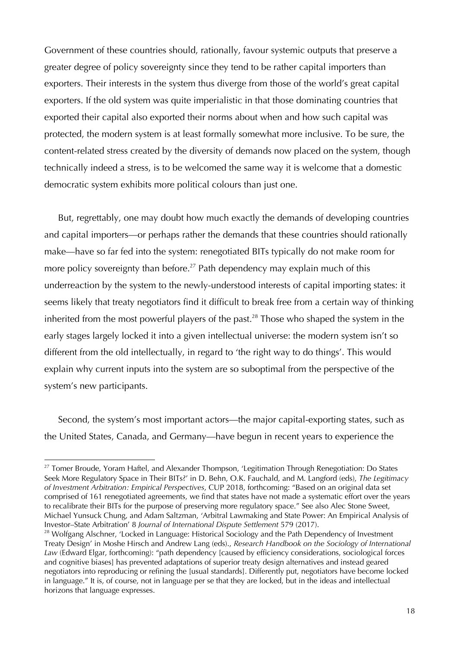Government of these countries should, rationally, favour systemic outputs that preserve a greater degree of policy sovereignty since they tend to be rather capital importers than exporters. Their interests in the system thus diverge from those of the world's great capital exporters. If the old system was quite imperialistic in that those dominating countries that exported their capital also exported their norms about when and how such capital was protected, the modern system is at least formally somewhat more inclusive. To be sure, the content-related stress created by the diversity of demands now placed on the system, though technically indeed a stress, is to be welcomed the same way it is welcome that a domestic democratic system exhibits more political colours than just one.

But, regrettably, one may doubt how much exactly the demands of developing countries and capital importers—or perhaps rather the demands that these countries should rationally make—have so far fed into the system: renegotiated BITs typically do not make room for more policy sovereignty than before.<sup>27</sup> Path dependency may explain much of this underreaction by the system to the newly-understood interests of capital importing states: it seems likely that treaty negotiators find it difficult to break free from a certain way of thinking inherited from the most powerful players of the past.<sup>28</sup> Those who shaped the system in the early stages largely locked it into a given intellectual universe: the modern system isn't so different from the old intellectually, in regard to 'the right way to do things'. This would explain why current inputs into the system are so suboptimal from the perspective of the system's new participants.

Second, the system's most important actors—the major capital-exporting states, such as the United States, Canada, and Germany—have begun in recent years to experience the

 $^{27}$  Tomer Broude, Yoram Haftel, and Alexander Thompson, 'Legitimation Through Renegotiation: Do States Seek More Regulatory Space in Their BITs?' in D. Behn, O.K. Fauchald, and M. Langford (eds), *The Legitimacy of Investment Arbitration: Empirical Perspectives*, CUP 2018, forthcoming: "Based on an original data set comprised of 161 renegotiated agreements, we find that states have not made a systematic effort over the years to recalibrate their BITs for the purpose of preserving more regulatory space." See also Alec Stone Sweet, Michael Yunsuck Chung, and Adam Saltzman, 'Arbitral Lawmaking and State Power: An Empirical Analysis of Investor–State Arbitration' 8 *Journal of International Dispute Settlement* 579 (2017).

<sup>&</sup>lt;sup>28</sup> Wolfgang Alschner, 'Locked in Language: Historical Sociology and the Path Dependency of Investment Treaty Design' in Moshe Hirsch and Andrew Lang (eds)., *Research Handbook on the Sociology of International Law* (Edward Elgar, forthcoming): "path dependency [caused by efficiency considerations, sociological forces and cognitive biases] has prevented adaptations of superior treaty design alternatives and instead geared negotiators into reproducing or refining the [usual standards]. Differently put, negotiators have become locked in language." It is, of course, not in language per se that they are locked, but in the ideas and intellectual horizons that language expresses.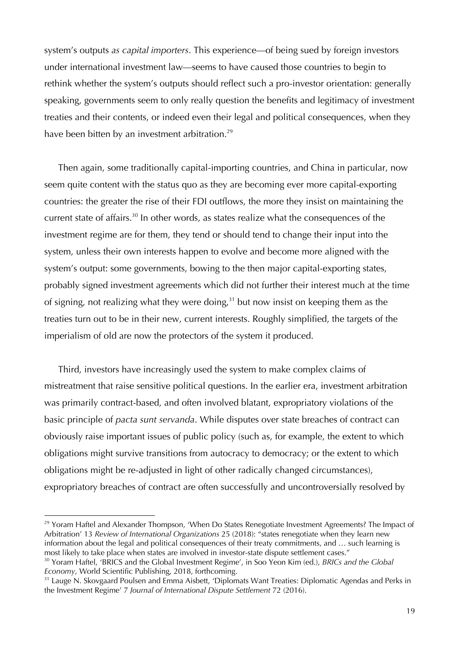system's outputs *as capital importers*. This experience—of being sued by foreign investors under international investment law—seems to have caused those countries to begin to rethink whether the system's outputs should reflect such a pro-investor orientation: generally speaking, governments seem to only really question the benefits and legitimacy of investment treaties and their contents, or indeed even their legal and political consequences, when they have been bitten by an investment arbitration.<sup>29</sup>

Then again, some traditionally capital-importing countries, and China in particular, now seem quite content with the status quo as they are becoming ever more capital-exporting countries: the greater the rise of their FDI outflows, the more they insist on maintaining the current state of affairs.<sup>30</sup> In other words, as states realize what the consequences of the investment regime are for them, they tend or should tend to change their input into the system, unless their own interests happen to evolve and become more aligned with the system's output: some governments, bowing to the then major capital-exporting states, probably signed investment agreements which did not further their interest much at the time of signing, not realizing what they were doing, $31$  but now insist on keeping them as the treaties turn out to be in their new, current interests. Roughly simplified, the targets of the imperialism of old are now the protectors of the system it produced.

Third, investors have increasingly used the system to make complex claims of mistreatment that raise sensitive political questions. In the earlier era, investment arbitration was primarily contract-based, and often involved blatant, expropriatory violations of the basic principle of *pacta sunt servanda*. While disputes over state breaches of contract can obviously raise important issues of public policy (such as, for example, the extent to which obligations might survive transitions from autocracy to democracy; or the extent to which obligations might be re-adjusted in light of other radically changed circumstances), expropriatory breaches of contract are often successfully and uncontroversially resolved by

<sup>29</sup> Yoram Haftel and Alexander Thompson, 'When Do States Renegotiate Investment Agreements? The Impact of Arbitration' 13 *Review of International Organizations* 25 (2018): "states renegotiate when they learn new information about the legal and political consequences of their treaty commitments, and … such learning is most likely to take place when states are involved in investor-state dispute settlement cases."

<sup>30</sup> Yoram Haftel, 'BRICS and the Global Investment Regime', in Soo Yeon Kim (ed.), *BRICs and the Global Economy*, World Scientific Publishing, 2018, forthcoming.

<sup>&</sup>lt;sup>31</sup> Lauge N. Skovgaard Poulsen and Emma Aisbett, 'Diplomats Want Treaties: Diplomatic Agendas and Perks in the Investment Regime' 7 *Journal of International Dispute Settlement* 72 (2016).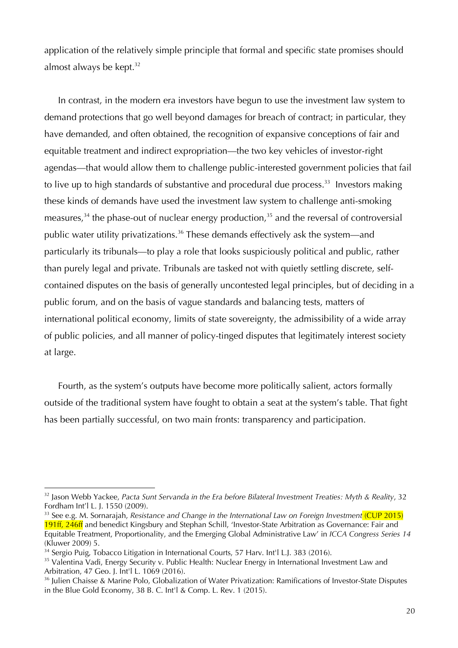application of the relatively simple principle that formal and specific state promises should almost always be kept. $32$ 

In contrast, in the modern era investors have begun to use the investment law system to demand protections that go well beyond damages for breach of contract; in particular, they have demanded, and often obtained, the recognition of expansive conceptions of fair and equitable treatment and indirect expropriation—the two key vehicles of investor-right agendas—that would allow them to challenge public-interested government policies that fail to live up to high standards of substantive and procedural due process.<sup>33</sup> Investors making these kinds of demands have used the investment law system to challenge anti-smoking measures,  $34$  the phase-out of nuclear energy production,  $35$  and the reversal of controversial public water utility privatizations.<sup>36</sup> These demands effectively ask the system—and particularly its tribunals—to play a role that looks suspiciously political and public, rather than purely legal and private. Tribunals are tasked not with quietly settling discrete, selfcontained disputes on the basis of generally uncontested legal principles, but of deciding in a public forum, and on the basis of vague standards and balancing tests, matters of international political economy, limits of state sovereignty, the admissibility of a wide array of public policies, and all manner of policy-tinged disputes that legitimately interest society at large.

Fourth, as the system's outputs have become more politically salient, actors formally outside of the traditional system have fought to obtain a seat at the system's table. That fight has been partially successful, on two main fronts: transparency and participation.

<sup>32</sup> Jason Webb Yackee, *Pacta Sunt Servanda in the Era before Bilateral Investment Treaties: Myth & Reality*, 32 Fordham Int'l L. J. 1550 (2009).

<sup>33</sup> See e.g. M. Sornarajah, *Resistance and Change in the International Law on Foreign Investment* (CUP 2015) 191ff, 246ff and benedict Kingsbury and Stephan Schill, 'Investor-State Arbitration as Governance: Fair and Equitable Treatment, Proportionality, and the Emerging Global Administrative Law' in *ICCA Congress Series 14* (Kluwer 2009) 5.

<sup>&</sup>lt;sup>34</sup> Sergio Puig, Tobacco Litigation in International Courts, 57 Harv. Int<sup>1</sup>l L.J. 383 (2016).

<sup>&</sup>lt;sup>35</sup> Valentina Vadi, Energy Security v. Public Health: Nuclear Energy in International Investment Law and Arbitration, 47 Geo. J. Int'l L. 1069 (2016).

<sup>&</sup>lt;sup>36</sup> Julien Chaisse & Marine Polo, Globalization of Water Privatization: Ramifications of Investor-State Disputes in the Blue Gold Economy, 38 B. C. Int'l & Comp. L. Rev. 1 (2015).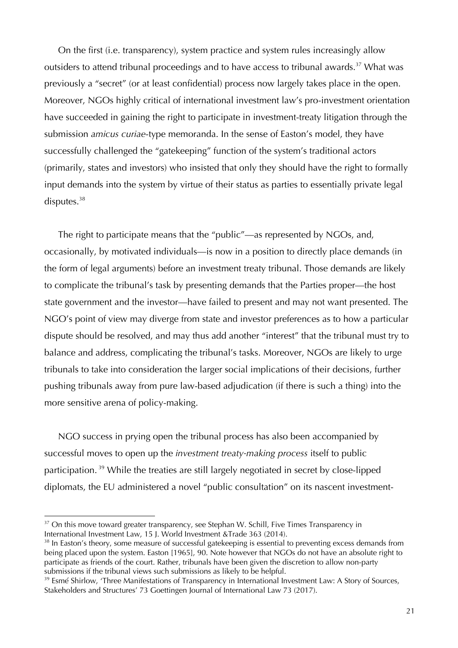On the first (i.e. transparency), system practice and system rules increasingly allow outsiders to attend tribunal proceedings and to have access to tribunal awards.<sup>37</sup> What was previously a "secret" (or at least confidential) process now largely takes place in the open. Moreover, NGOs highly critical of international investment law's pro-investment orientation have succeeded in gaining the right to participate in investment-treaty litigation through the submission *amicus curiae*-type memoranda. In the sense of Easton's model, they have successfully challenged the "gatekeeping" function of the system's traditional actors (primarily, states and investors) who insisted that only they should have the right to formally input demands into the system by virtue of their status as parties to essentially private legal  $disputes.<sup>38</sup>$ 

The right to participate means that the "public"—as represented by NGOs, and, occasionally, by motivated individuals—is now in a position to directly place demands (in the form of legal arguments) before an investment treaty tribunal. Those demands are likely to complicate the tribunal's task by presenting demands that the Parties proper—the host state government and the investor—have failed to present and may not want presented. The NGO's point of view may diverge from state and investor preferences as to how a particular dispute should be resolved, and may thus add another "interest" that the tribunal must try to balance and address, complicating the tribunal's tasks. Moreover, NGOs are likely to urge tribunals to take into consideration the larger social implications of their decisions, further pushing tribunals away from pure law-based adjudication (if there is such a thing) into the more sensitive arena of policy-making.

NGO success in prying open the tribunal process has also been accompanied by successful moves to open up the *investment treaty-making process* itself to public participation.<sup>39</sup> While the treaties are still largely negotiated in secret by close-lipped diplomats, the EU administered a novel "public consultation" on its nascent investment-

 $37$  On this move toward greater transparency, see Stephan W. Schill, Five Times Transparency in International Investment Law, 15 J. World Investment &Trade 363 (2014).

<sup>&</sup>lt;sup>38</sup> In Easton's theory, some measure of successful gatekeeping is essential to preventing excess demands from being placed upon the system. Easton [1965], 90. Note however that NGOs do not have an absolute right to participate as friends of the court. Rather, tribunals have been given the discretion to allow non-party submissions if the tribunal views such submissions as likely to be helpful.

<sup>&</sup>lt;sup>39</sup> Esmé Shirlow, 'Three Manifestations of Transparency in International Investment Law: A Story of Sources, Stakeholders and Structures' 73 Goettingen Journal of International Law 73 (2017).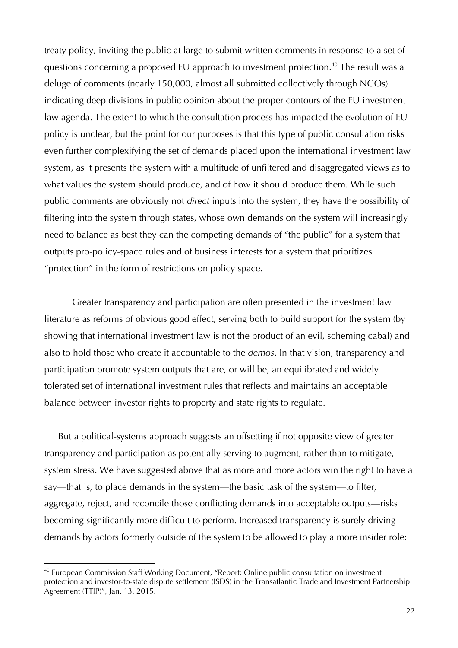treaty policy, inviting the public at large to submit written comments in response to a set of questions concerning a proposed EU approach to investment protection.<sup>40</sup> The result was a deluge of comments (nearly 150,000, almost all submitted collectively through NGOs) indicating deep divisions in public opinion about the proper contours of the EU investment law agenda. The extent to which the consultation process has impacted the evolution of EU policy is unclear, but the point for our purposes is that this type of public consultation risks even further complexifying the set of demands placed upon the international investment law system, as it presents the system with a multitude of unfiltered and disaggregated views as to what values the system should produce, and of how it should produce them. While such public comments are obviously not *direct* inputs into the system, they have the possibility of filtering into the system through states, whose own demands on the system will increasingly need to balance as best they can the competing demands of "the public" for a system that outputs pro-policy-space rules and of business interests for a system that prioritizes "protection" in the form of restrictions on policy space.

Greater transparency and participation are often presented in the investment law literature as reforms of obvious good effect, serving both to build support for the system (by showing that international investment law is not the product of an evil, scheming cabal) and also to hold those who create it accountable to the *demos*. In that vision, transparency and participation promote system outputs that are, or will be, an equilibrated and widely tolerated set of international investment rules that reflects and maintains an acceptable balance between investor rights to property and state rights to regulate.

But a political-systems approach suggests an offsetting if not opposite view of greater transparency and participation as potentially serving to augment, rather than to mitigate, system stress. We have suggested above that as more and more actors win the right to have a say—that is, to place demands in the system—the basic task of the system—to filter, aggregate, reject, and reconcile those conflicting demands into acceptable outputs—risks becoming significantly more difficult to perform. Increased transparency is surely driving demands by actors formerly outside of the system to be allowed to play a more insider role:

<sup>40</sup> European Commission Staff Working Document, "Report: Online public consultation on investment protection and investor-to-state dispute settlement (ISDS) in the Transatlantic Trade and Investment Partnership Agreement (TTIP)", Jan. 13, 2015.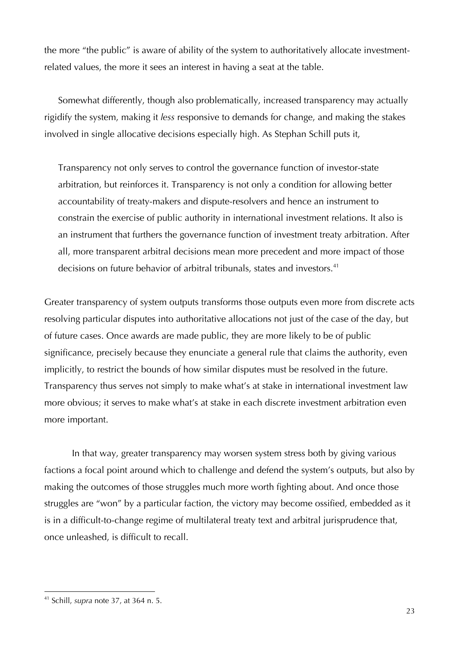the more "the public" is aware of ability of the system to authoritatively allocate investmentrelated values, the more it sees an interest in having a seat at the table.

Somewhat differently, though also problematically, increased transparency may actually rigidify the system, making it *less* responsive to demands for change, and making the stakes involved in single allocative decisions especially high. As Stephan Schill puts it,

Transparency not only serves to control the governance function of investor-state arbitration, but reinforces it. Transparency is not only a condition for allowing better accountability of treaty-makers and dispute-resolvers and hence an instrument to constrain the exercise of public authority in international investment relations. It also is an instrument that furthers the governance function of investment treaty arbitration. After all, more transparent arbitral decisions mean more precedent and more impact of those decisions on future behavior of arbitral tribunals, states and investors.<sup>41</sup>

Greater transparency of system outputs transforms those outputs even more from discrete acts resolving particular disputes into authoritative allocations not just of the case of the day, but of future cases. Once awards are made public, they are more likely to be of public significance, precisely because they enunciate a general rule that claims the authority, even implicitly, to restrict the bounds of how similar disputes must be resolved in the future. Transparency thus serves not simply to make what's at stake in international investment law more obvious; it serves to make what's at stake in each discrete investment arbitration even more important.

In that way, greater transparency may worsen system stress both by giving various factions a focal point around which to challenge and defend the system's outputs, but also by making the outcomes of those struggles much more worth fighting about. And once those struggles are "won" by a particular faction, the victory may become ossified, embedded as it is in a difficult-to-change regime of multilateral treaty text and arbitral jurisprudence that, once unleashed, is difficult to recall.

<sup>41</sup> Schill, *supra* note 37, at 364 n. 5.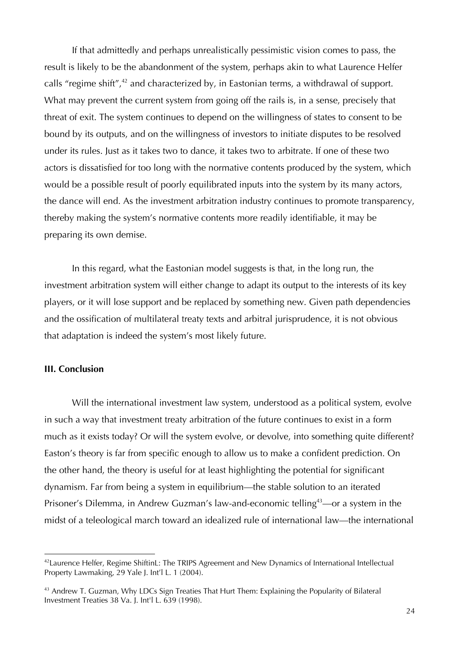If that admittedly and perhaps unrealistically pessimistic vision comes to pass, the result is likely to be the abandonment of the system, perhaps akin to what Laurence Helfer calls "regime shift",<sup>42</sup> and characterized by, in Eastonian terms, a withdrawal of support. What may prevent the current system from going off the rails is, in a sense, precisely that threat of exit. The system continues to depend on the willingness of states to consent to be bound by its outputs, and on the willingness of investors to initiate disputes to be resolved under its rules. Just as it takes two to dance, it takes two to arbitrate. If one of these two actors is dissatisfied for too long with the normative contents produced by the system, which would be a possible result of poorly equilibrated inputs into the system by its many actors, the dance will end. As the investment arbitration industry continues to promote transparency, thereby making the system's normative contents more readily identifiable, it may be preparing its own demise.

In this regard, what the Eastonian model suggests is that, in the long run, the investment arbitration system will either change to adapt its output to the interests of its key players, or it will lose support and be replaced by something new. Given path dependencies and the ossification of multilateral treaty texts and arbitral jurisprudence, it is not obvious that adaptation is indeed the system's most likely future.

# **III. Conclusion**

 $\overline{a}$ 

Will the international investment law system, understood as a political system, evolve in such a way that investment treaty arbitration of the future continues to exist in a form much as it exists today? Or will the system evolve, or devolve, into something quite different? Easton's theory is far from specific enough to allow us to make a confident prediction. On the other hand, the theory is useful for at least highlighting the potential for significant dynamism. Far from being a system in equilibrium—the stable solution to an iterated Prisoner's Dilemma, in Andrew Guzman's law-and-economic telling<sup>43</sup>—or a system in the midst of a teleological march toward an idealized rule of international law—the international

<sup>&</sup>lt;sup>42</sup> Laurence Helfer, Regime ShiftinL: The TRIPS Agreement and New Dynamics of International Intellectual Property Lawmaking, 29 Yale J. Int'l L. 1 (2004).

<sup>&</sup>lt;sup>43</sup> Andrew T. Guzman, Why LDCs Sign Treaties That Hurt Them: Explaining the Popularity of Bilateral Investment Treaties 38 Va. J. Int'l L. 639 (1998).